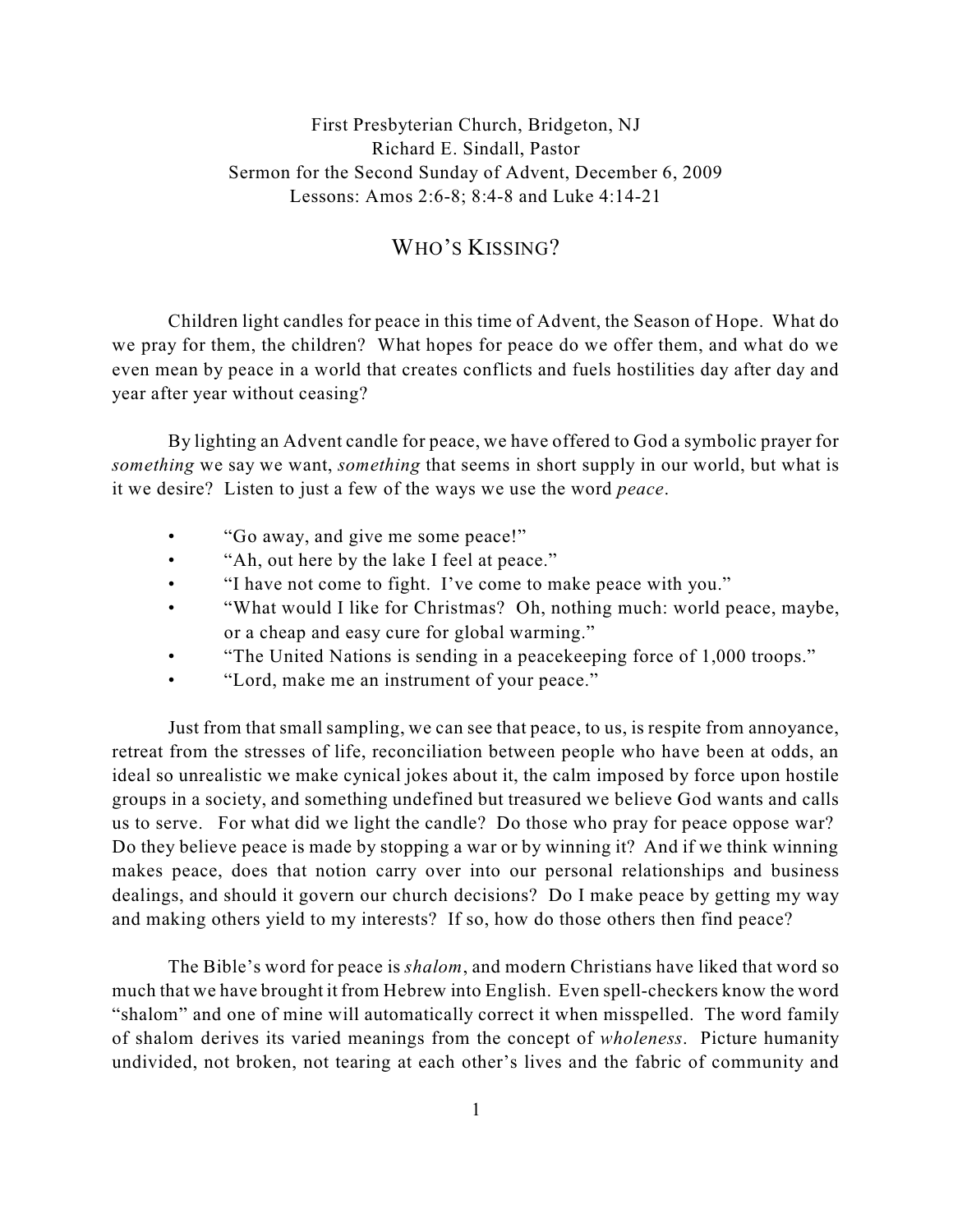## First Presbyterian Church, Bridgeton, NJ Richard E. Sindall, Pastor Sermon for the Second Sunday of Advent, December 6, 2009 Lessons: Amos 2:6-8; 8:4-8 and Luke 4:14-21

## WHO'S KISSING?

Children light candles for peace in this time of Advent, the Season of Hope. What do we pray for them, the children? What hopes for peace do we offer them, and what do we even mean by peace in a world that creates conflicts and fuels hostilities day after day and year after year without ceasing?

By lighting an Advent candle for peace, we have offered to God a symbolic prayer for *something* we say we want, *something* that seems in short supply in our world, but what is it we desire? Listen to just a few of the ways we use the word *peace*.

- "Go away, and give me some peace!"
- "Ah, out here by the lake I feel at peace."
- "I have not come to fight. I've come to make peace with you."
- "What would I like for Christmas? Oh, nothing much: world peace, maybe, or a cheap and easy cure for global warming."
- "The United Nations is sending in a peacekeeping force of 1,000 troops."
- "Lord, make me an instrument of your peace."

Just from that small sampling, we can see that peace, to us, is respite from annoyance, retreat from the stresses of life, reconciliation between people who have been at odds, an ideal so unrealistic we make cynical jokes about it, the calm imposed by force upon hostile groups in a society, and something undefined but treasured we believe God wants and calls us to serve. For what did we light the candle? Do those who pray for peace oppose war? Do they believe peace is made by stopping a war or by winning it? And if we think winning makes peace, does that notion carry over into our personal relationships and business dealings, and should it govern our church decisions? Do I make peace by getting my way and making others yield to my interests? If so, how do those others then find peace?

The Bible's word for peace is *shalom*, and modern Christians have liked that word so much that we have brought it from Hebrew into English. Even spell-checkers know the word "shalom" and one of mine will automatically correct it when misspelled. The word family of shalom derives its varied meanings from the concept of *wholeness*. Picture humanity undivided, not broken, not tearing at each other's lives and the fabric of community and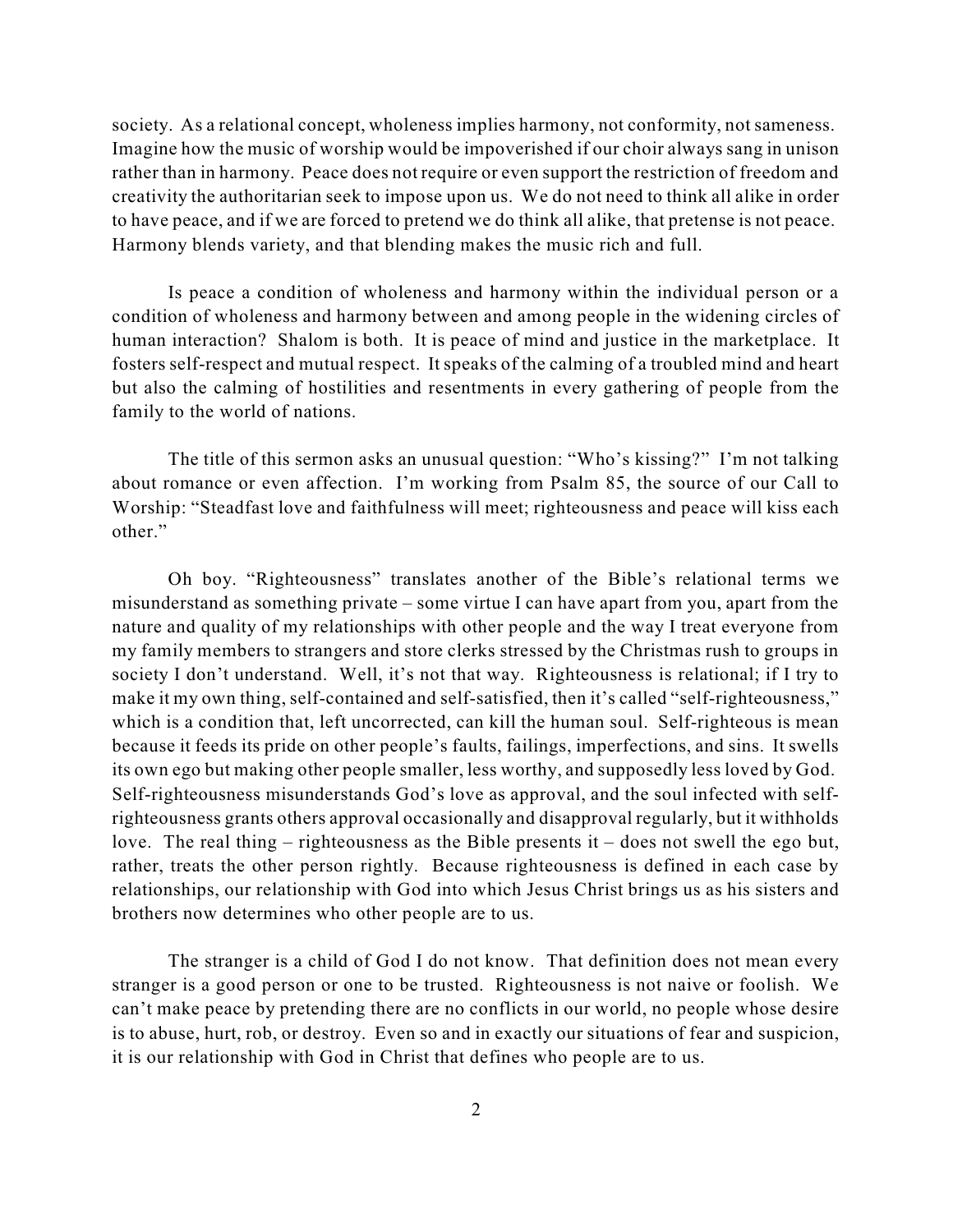society. As a relational concept, wholeness implies harmony, not conformity, not sameness. Imagine how the music of worship would be impoverished if our choir always sang in unison rather than in harmony. Peace does not require or even support the restriction of freedom and creativity the authoritarian seek to impose upon us. We do not need to think all alike in order to have peace, and if we are forced to pretend we do think all alike, that pretense is not peace. Harmony blends variety, and that blending makes the music rich and full.

Is peace a condition of wholeness and harmony within the individual person or a condition of wholeness and harmony between and among people in the widening circles of human interaction? Shalom is both. It is peace of mind and justice in the marketplace. It fosters self-respect and mutual respect. It speaks of the calming of a troubled mind and heart but also the calming of hostilities and resentments in every gathering of people from the family to the world of nations.

The title of this sermon asks an unusual question: "Who's kissing?" I'm not talking about romance or even affection. I'm working from Psalm 85, the source of our Call to Worship: "Steadfast love and faithfulness will meet; righteousness and peace will kiss each other"

Oh boy. "Righteousness" translates another of the Bible's relational terms we misunderstand as something private – some virtue I can have apart from you, apart from the nature and quality of my relationships with other people and the way I treat everyone from my family members to strangers and store clerks stressed by the Christmas rush to groups in society I don't understand. Well, it's not that way. Righteousness is relational; if I try to make it my own thing, self-contained and self-satisfied, then it's called "self-righteousness," which is a condition that, left uncorrected, can kill the human soul. Self-righteous is mean because it feeds its pride on other people's faults, failings, imperfections, and sins. It swells its own ego but making other people smaller, less worthy, and supposedly less loved by God. Self-righteousness misunderstands God's love as approval, and the soul infected with selfrighteousness grants others approval occasionally and disapproval regularly, but it withholds love. The real thing – righteousness as the Bible presents it – does not swell the ego but, rather, treats the other person rightly. Because righteousness is defined in each case by relationships, our relationship with God into which Jesus Christ brings us as his sisters and brothers now determines who other people are to us.

The stranger is a child of God I do not know. That definition does not mean every stranger is a good person or one to be trusted. Righteousness is not naive or foolish. We can't make peace by pretending there are no conflicts in our world, no people whose desire is to abuse, hurt, rob, or destroy. Even so and in exactly our situations of fear and suspicion, it is our relationship with God in Christ that defines who people are to us.